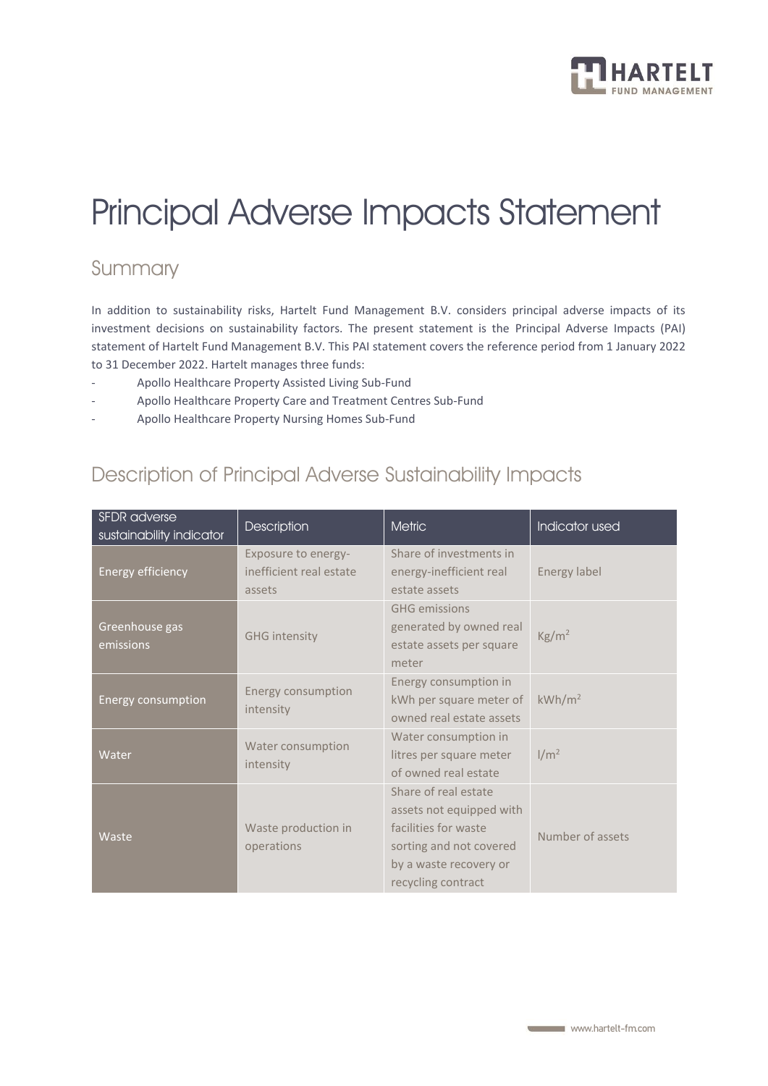

# Principal Adverse Impacts Statement

#### Summary

In addition to sustainability risks, Hartelt Fund Management B.V. considers principal adverse impacts of its investment decisions on sustainability factors. The present statement is the Principal Adverse Impacts (PAI) statement of Hartelt Fund Management B.V. This PAI statement covers the reference period from 1 January 2022 to 31 December 2022. Hartelt manages three funds:

- Apollo Healthcare Property Assisted Living Sub-Fund
- Apollo Healthcare Property Care and Treatment Centres Sub-Fund
- Apollo Healthcare Property Nursing Homes Sub-Fund

### Description of Principal Adverse Sustainability Impacts

| <b>SFDR</b> adverse<br>sustainability indicator | <b>Description</b>                                       | <b>Metric</b>                                                                                                                                       | Indicator used     |
|-------------------------------------------------|----------------------------------------------------------|-----------------------------------------------------------------------------------------------------------------------------------------------------|--------------------|
| <b>Energy efficiency</b>                        | Exposure to energy-<br>inefficient real estate<br>assets | Share of investments in<br>energy-inefficient real<br>estate assets                                                                                 | Energy label       |
| Greenhouse gas<br>emissions                     | <b>GHG</b> intensity                                     | <b>GHG</b> emissions<br>generated by owned real<br>estate assets per square<br>meter                                                                | Kg/m <sup>2</sup>  |
| Energy consumption                              | Energy consumption<br>intensity                          | Energy consumption in<br>kWh per square meter of<br>owned real estate assets                                                                        | kWh/m <sup>2</sup> |
| Water                                           | Water consumption<br>intensity                           | Water consumption in<br>litres per square meter<br>of owned real estate                                                                             | 1/m <sup>2</sup>   |
| Waste                                           | Waste production in<br>operations                        | Share of real estate<br>assets not equipped with<br>facilities for waste<br>sorting and not covered<br>by a waste recovery or<br>recycling contract | Number of assets   |